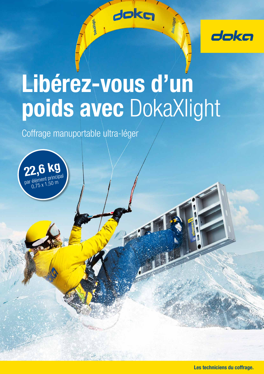

# Libérez-vous d'un poids avec DokaXlight

dokg

Coffrage manuportable ultra-léger



Les techniciens du coffrage.